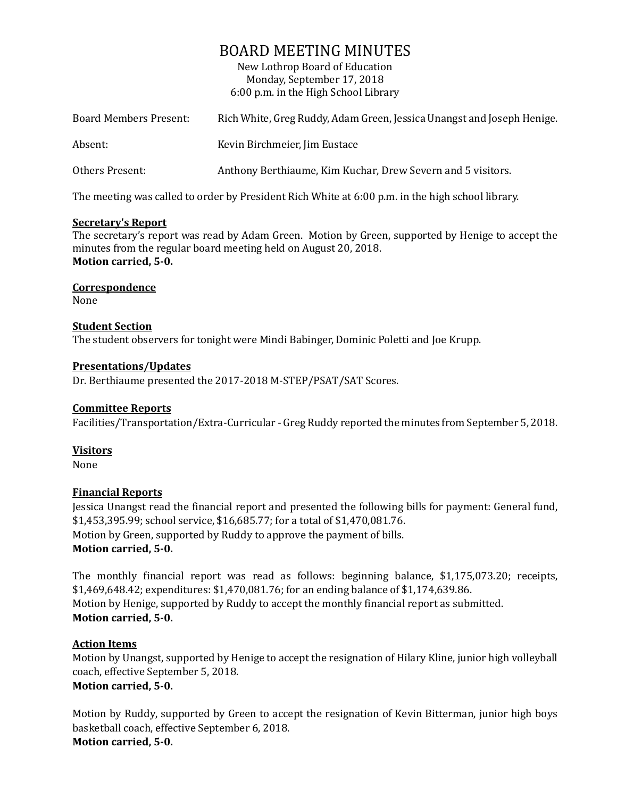# BOARD MEETING MINUTES

New Lothrop Board of Education Monday, September 17, 2018 6:00 p.m. in the High School Library

| <b>Board Members Present:</b> | Rich White, Greg Ruddy, Adam Green, Jessica Unangst and Joseph Henige. |
|-------------------------------|------------------------------------------------------------------------|
| Absent:                       | Kevin Birchmeier, Jim Eustace                                          |
| Others Present:               | Anthony Berthiaume, Kim Kuchar, Drew Severn and 5 visitors.            |

The meeting was called to order by President Rich White at 6:00 p.m. in the high school library.

# **Secretary's Report**

The secretary's report was read by Adam Green. Motion by Green, supported by Henige to accept the minutes from the regular board meeting held on August 20, 2018. **Motion carried, 5-0.**

**Correspondence** None

# **Student Section**

The student observers for tonight were Mindi Babinger, Dominic Poletti and Joe Krupp.

## **Presentations/Updates**

Dr. Berthiaume presented the 2017-2018 M-STEP/PSAT/SAT Scores.

# **Committee Reports**

Facilities/Transportation/Extra-Curricular - Greg Ruddy reported the minutes from September 5, 2018.

# **Visitors**

None

# **Financial Reports**

Jessica Unangst read the financial report and presented the following bills for payment: General fund, \$1,453,395.99; school service, \$16,685.77; for a total of \$1,470,081.76. Motion by Green, supported by Ruddy to approve the payment of bills. **Motion carried, 5-0.**

The monthly financial report was read as follows: beginning balance, \$1,175,073.20; receipts, \$1,469,648.42; expenditures: \$1,470,081.76; for an ending balance of \$1,174,639.86. Motion by Henige, supported by Ruddy to accept the monthly financial report as submitted. **Motion carried, 5-0.**

# **Action Items**

Motion by Unangst, supported by Henige to accept the resignation of Hilary Kline, junior high volleyball coach, effective September 5, 2018. **Motion carried, 5-0.** 

Motion by Ruddy, supported by Green to accept the resignation of Kevin Bitterman, junior high boys basketball coach, effective September 6, 2018. **Motion carried, 5-0.**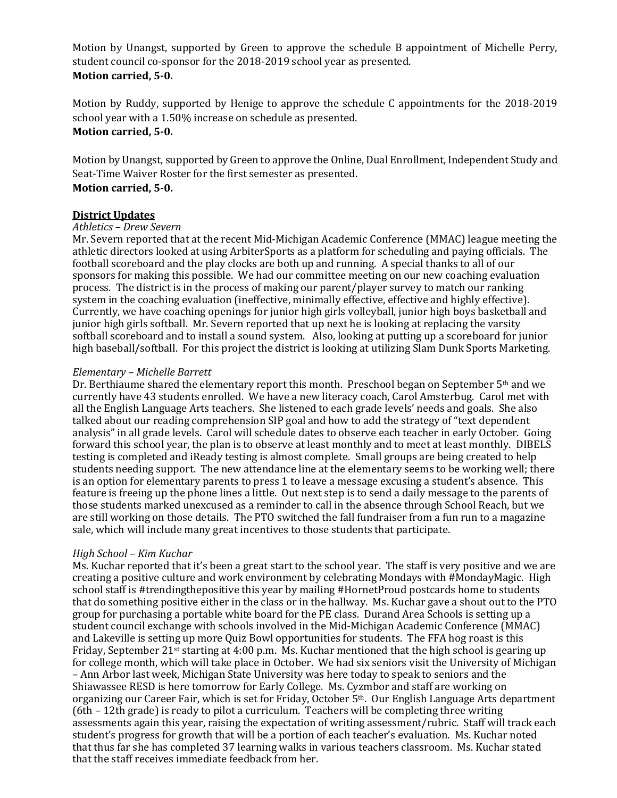Motion by Unangst, supported by Green to approve the schedule B appointment of Michelle Perry, student council co-sponsor for the 2018-2019 school year as presented. **Motion carried, 5-0.**

Motion by Ruddy, supported by Henige to approve the schedule C appointments for the 2018-2019 school year with a 1.50% increase on schedule as presented. **Motion carried, 5-0.**

Motion by Unangst, supported by Green to approve the Online, Dual Enrollment, Independent Study and Seat-Time Waiver Roster for the first semester as presented. **Motion carried, 5-0.**

#### **District Updates**

#### *Athletics – Drew Severn*

Mr. Severn reported that at the recent Mid-Michigan Academic Conference (MMAC) league meeting the athletic directors looked at using ArbiterSports as a platform for scheduling and paying officials. The football scoreboard and the play clocks are both up and running. A special thanks to all of our sponsors for making this possible. We had our committee meeting on our new coaching evaluation process. The district is in the process of making our parent/player survey to match our ranking system in the coaching evaluation (ineffective, minimally effective, effective and highly effective). Currently, we have coaching openings for junior high girls volleyball, junior high boys basketball and junior high girls softball. Mr. Severn reported that up next he is looking at replacing the varsity softball scoreboard and to install a sound system. Also, looking at putting up a scoreboard for junior high baseball/softball. For this project the district is looking at utilizing Slam Dunk Sports Marketing.

#### *Elementary – Michelle Barrett*

Dr. Berthiaume shared the elementary report this month. Preschool began on September  $5<sup>th</sup>$  and we currently have 43 students enrolled. We have a new literacy coach, Carol Amsterbug. Carol met with all the English Language Arts teachers. She listened to each grade levels' needs and goals. She also talked about our reading comprehension SIP goal and how to add the strategy of "text dependent analysis" in all grade levels. Carol will schedule dates to observe each teacher in early October. Going forward this school year, the plan is to observe at least monthly and to meet at least monthly. DIBELS testing is completed and iReady testing is almost complete. Small groups are being created to help students needing support. The new attendance line at the elementary seems to be working well; there is an option for elementary parents to press 1 to leave a message excusing a student's absence. This feature is freeing up the phone lines a little. Out next step is to send a daily message to the parents of those students marked unexcused as a reminder to call in the absence through School Reach, but we are still working on those details. The PTO switched the fall fundraiser from a fun run to a magazine sale, which will include many great incentives to those students that participate.

#### *High School – Kim Kuchar*

Ms. Kuchar reported that it's been a great start to the school year. The staff is very positive and we are creating a positive culture and work environment by celebrating Mondays with #MondayMagic. High school staff is #trendingthepositive this year by mailing #HornetProud postcards home to students that do something positive either in the class or in the hallway. Ms. Kuchar gave a shout out to the PTO group for purchasing a portable white board for the PE class. Durand Area Schools is setting up a student council exchange with schools involved in the Mid-Michigan Academic Conference (MMAC) and Lakeville is setting up more Quiz Bowl opportunities for students. The FFA hog roast is this Friday, September 21st starting at 4:00 p.m. Ms. Kuchar mentioned that the high school is gearing up for college month, which will take place in October. We had six seniors visit the University of Michigan – Ann Arbor last week, Michigan State University was here today to speak to seniors and the Shiawassee RESD is here tomorrow for Early College. Ms. Cyzmbor and staff are working on organizing our Career Fair, which is set for Friday, October 5th. Our English Language Arts department (6th – 12th grade) is ready to pilot a curriculum. Teachers will be completing three writing assessments again this year, raising the expectation of writing assessment/rubric. Staff will track each student's progress for growth that will be a portion of each teacher's evaluation. Ms. Kuchar noted that thus far she has completed 37 learning walks in various teachers classroom. Ms. Kuchar stated that the staff receives immediate feedback from her.